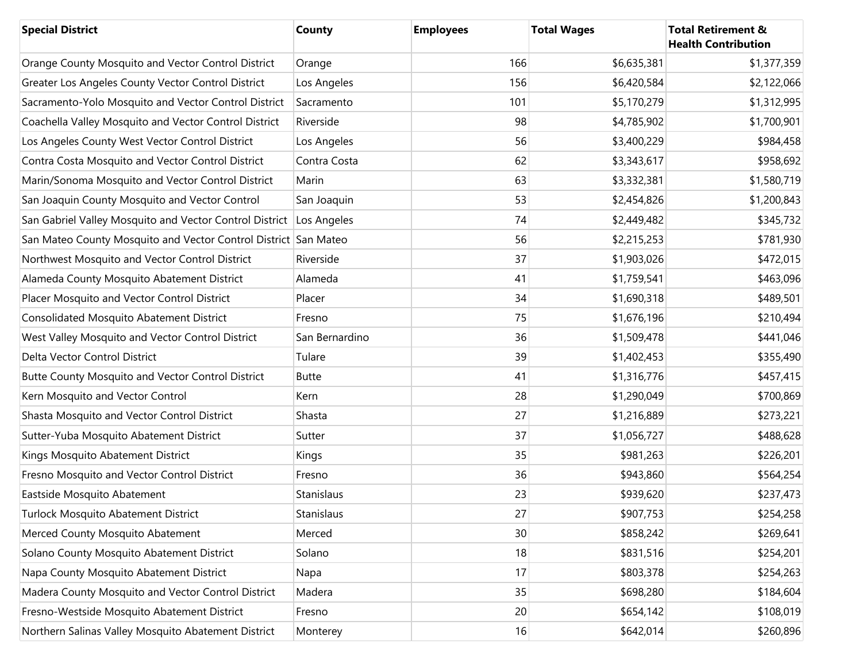| <b>Special District</b>                                             | County         | <b>Employees</b> | <b>Total Wages</b> | <b>Total Retirement &amp;</b><br><b>Health Contribution</b> |
|---------------------------------------------------------------------|----------------|------------------|--------------------|-------------------------------------------------------------|
| Orange County Mosquito and Vector Control District                  | Orange         | 166              | \$6,635,381        | \$1,377,359                                                 |
| Greater Los Angeles County Vector Control District                  | Los Angeles    | 156              | \$6,420,584        | \$2,122,066                                                 |
| Sacramento-Yolo Mosquito and Vector Control District                | Sacramento     | 101              | \$5,170,279        | \$1,312,995                                                 |
| Coachella Valley Mosquito and Vector Control District               | Riverside      | 98               | \$4,785,902        | \$1,700,901                                                 |
| Los Angeles County West Vector Control District                     | Los Angeles    | 56               | \$3,400,229        | \$984,458                                                   |
| Contra Costa Mosquito and Vector Control District                   | Contra Costa   | 62               | \$3,343,617        | \$958,692                                                   |
| Marin/Sonoma Mosquito and Vector Control District                   | Marin          | 63               | \$3,332,381        | \$1,580,719                                                 |
| San Joaquin County Mosquito and Vector Control                      | San Joaquin    | 53               | \$2,454,826        | \$1,200,843                                                 |
| San Gabriel Valley Mosquito and Vector Control District Los Angeles |                | 74               | \$2,449,482        | \$345,732                                                   |
| San Mateo County Mosquito and Vector Control District San Mateo     |                | 56               | \$2,215,253        | \$781,930                                                   |
| Northwest Mosquito and Vector Control District                      | Riverside      | 37               | \$1,903,026        | \$472,015                                                   |
| Alameda County Mosquito Abatement District                          | Alameda        | 41               | \$1,759,541        | \$463,096                                                   |
| Placer Mosquito and Vector Control District                         | Placer         | 34               | \$1,690,318        | \$489,501                                                   |
| <b>Consolidated Mosquito Abatement District</b>                     | Fresno         | 75               | \$1,676,196        | \$210,494                                                   |
| West Valley Mosquito and Vector Control District                    | San Bernardino | 36               | \$1,509,478        | \$441,046                                                   |
| Delta Vector Control District                                       | Tulare         | 39               | \$1,402,453        | \$355,490                                                   |
| Butte County Mosquito and Vector Control District                   | <b>Butte</b>   | 41               | \$1,316,776        | \$457,415                                                   |
| Kern Mosquito and Vector Control                                    | Kern           | 28               | \$1,290,049        | \$700,869                                                   |
| Shasta Mosquito and Vector Control District                         | Shasta         | 27               | \$1,216,889        | \$273,221                                                   |
| Sutter-Yuba Mosquito Abatement District                             | Sutter         | 37               | \$1,056,727        | \$488,628                                                   |
| Kings Mosquito Abatement District                                   | Kings          | 35               | \$981,263          | \$226,201                                                   |
| Fresno Mosquito and Vector Control District                         | Fresno         | 36               | \$943,860          | \$564,254                                                   |
| Eastside Mosquito Abatement                                         | Stanislaus     | 23               | \$939,620          | \$237,473                                                   |
| Turlock Mosquito Abatement District                                 | Stanislaus     | 27               | \$907,753          | \$254,258                                                   |
| Merced County Mosquito Abatement                                    | Merced         | 30               | \$858,242          | \$269,641                                                   |
| Solano County Mosquito Abatement District                           | Solano         | 18               | \$831,516          | \$254,201                                                   |
| Napa County Mosquito Abatement District                             | Napa           | 17               | \$803,378          | \$254,263                                                   |
| Madera County Mosquito and Vector Control District                  | Madera         | 35               | \$698,280          | \$184,604                                                   |
| Fresno-Westside Mosquito Abatement District                         | Fresno         | 20               | \$654,142          | \$108,019                                                   |
| Northern Salinas Valley Mosquito Abatement District                 | Monterey       | 16               | \$642,014          | \$260,896                                                   |